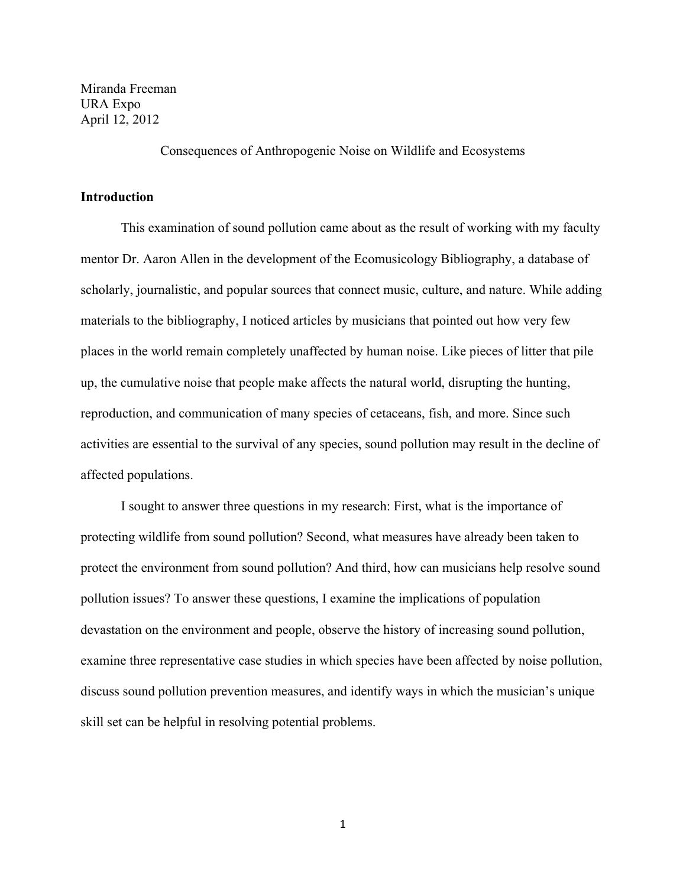Miranda Freeman URA Expo April 12, 2012

Consequences of Anthropogenic Noise on Wildlife and Ecosystems

# **Introduction**

This examination of sound pollution came about as the result of working with my faculty mentor Dr. Aaron Allen in the development of the Ecomusicology Bibliography, a database of scholarly, journalistic, and popular sources that connect music, culture, and nature. While adding materials to the bibliography, I noticed articles by musicians that pointed out how very few places in the world remain completely unaffected by human noise. Like pieces of litter that pile up, the cumulative noise that people make affects the natural world, disrupting the hunting, reproduction, and communication of many species of cetaceans, fish, and more. Since such activities are essential to the survival of any species, sound pollution may result in the decline of affected populations.

I sought to answer three questions in my research: First, what is the importance of protecting wildlife from sound pollution? Second, what measures have already been taken to protect the environment from sound pollution? And third, how can musicians help resolve sound pollution issues? To answer these questions, I examine the implications of population devastation on the environment and people, observe the history of increasing sound pollution, examine three representative case studies in which species have been affected by noise pollution, discuss sound pollution prevention measures, and identify ways in which the musician's unique skill set can be helpful in resolving potential problems.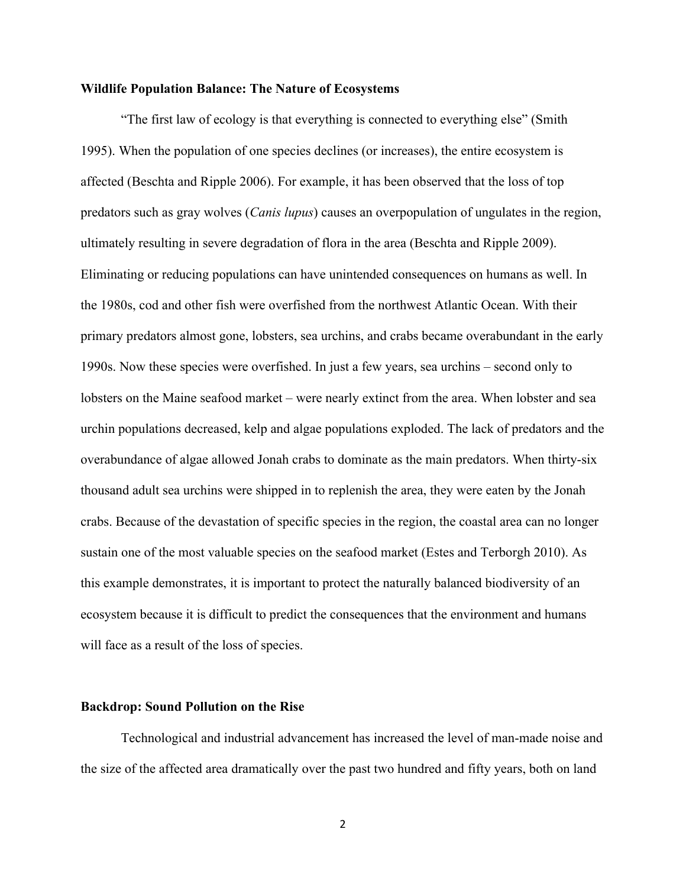# **Wildlife Population Balance: The Nature of Ecosystems**

"The first law of ecology is that everything is connected to everything else" (Smith 1995). When the population of one species declines (or increases), the entire ecosystem is affected (Beschta and Ripple 2006). For example, it has been observed that the loss of top predators such as gray wolves (*Canis lupus*) causes an overpopulation of ungulates in the region, ultimately resulting in severe degradation of flora in the area (Beschta and Ripple 2009). Eliminating or reducing populations can have unintended consequences on humans as well. In the 1980s, cod and other fish were overfished from the northwest Atlantic Ocean. With their primary predators almost gone, lobsters, sea urchins, and crabs became overabundant in the early 1990s. Now these species were overfished. In just a few years, sea urchins – second only to lobsters on the Maine seafood market – were nearly extinct from the area. When lobster and sea urchin populations decreased, kelp and algae populations exploded. The lack of predators and the overabundance of algae allowed Jonah crabs to dominate as the main predators. When thirty-six thousand adult sea urchins were shipped in to replenish the area, they were eaten by the Jonah crabs. Because of the devastation of specific species in the region, the coastal area can no longer sustain one of the most valuable species on the seafood market (Estes and Terborgh 2010). As this example demonstrates, it is important to protect the naturally balanced biodiversity of an ecosystem because it is difficult to predict the consequences that the environment and humans will face as a result of the loss of species.

#### **Backdrop: Sound Pollution on the Rise**

Technological and industrial advancement has increased the level of man-made noise and the size of the affected area dramatically over the past two hundred and fifty years, both on land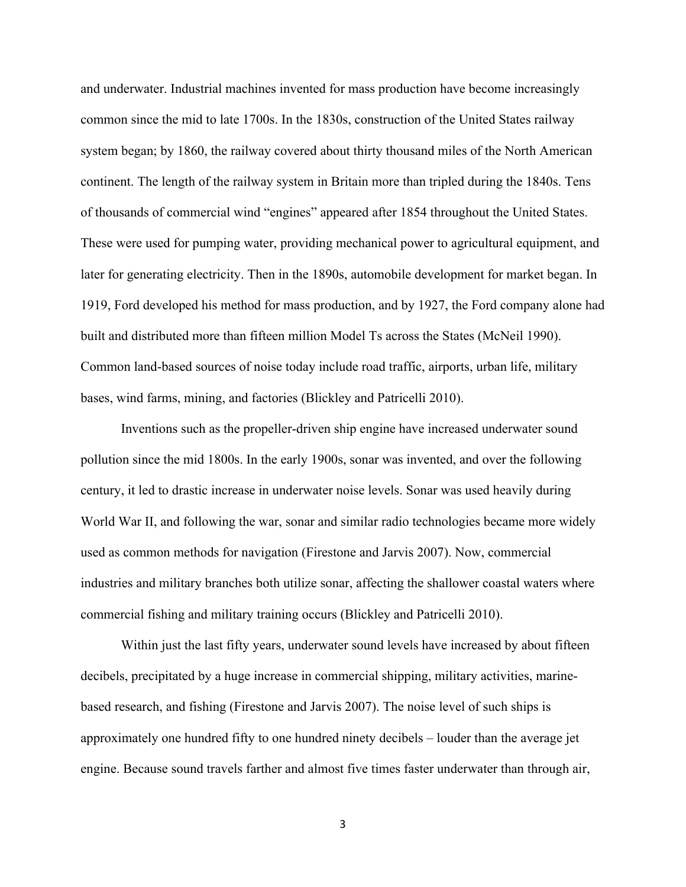and underwater. Industrial machines invented for mass production have become increasingly common since the mid to late 1700s. In the 1830s, construction of the United States railway system began; by 1860, the railway covered about thirty thousand miles of the North American continent. The length of the railway system in Britain more than tripled during the 1840s. Tens of thousands of commercial wind "engines" appeared after 1854 throughout the United States. These were used for pumping water, providing mechanical power to agricultural equipment, and later for generating electricity. Then in the 1890s, automobile development for market began. In 1919, Ford developed his method for mass production, and by 1927, the Ford company alone had built and distributed more than fifteen million Model Ts across the States (McNeil 1990). Common land-based sources of noise today include road traffic, airports, urban life, military bases, wind farms, mining, and factories (Blickley and Patricelli 2010).

Inventions such as the propeller-driven ship engine have increased underwater sound pollution since the mid 1800s. In the early 1900s, sonar was invented, and over the following century, it led to drastic increase in underwater noise levels. Sonar was used heavily during World War II, and following the war, sonar and similar radio technologies became more widely used as common methods for navigation (Firestone and Jarvis 2007). Now, commercial industries and military branches both utilize sonar, affecting the shallower coastal waters where commercial fishing and military training occurs (Blickley and Patricelli 2010).

Within just the last fifty years, underwater sound levels have increased by about fifteen decibels, precipitated by a huge increase in commercial shipping, military activities, marinebased research, and fishing (Firestone and Jarvis 2007). The noise level of such ships is approximately one hundred fifty to one hundred ninety decibels – louder than the average jet engine. Because sound travels farther and almost five times faster underwater than through air,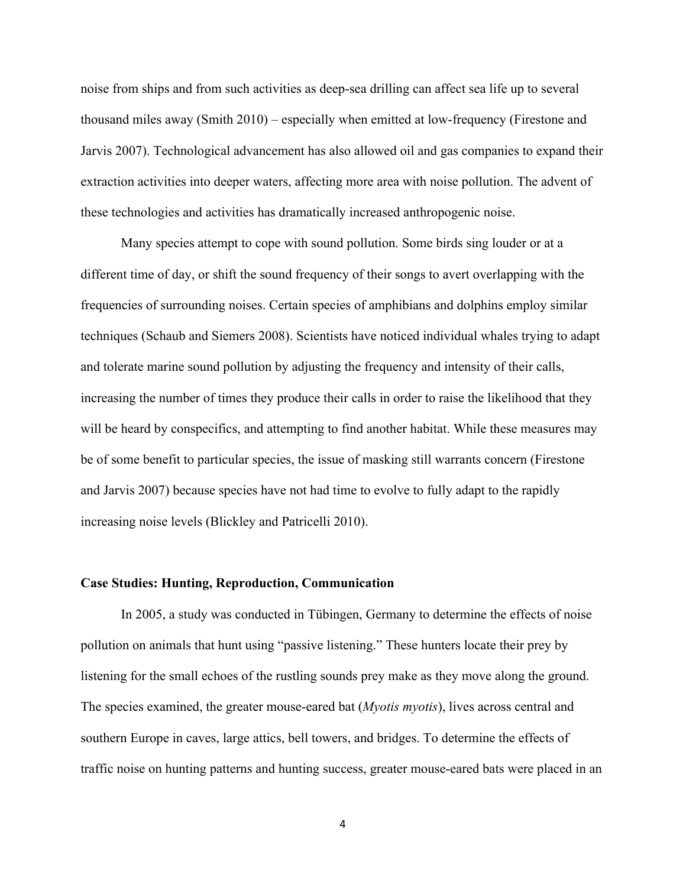noise from ships and from such activities as deep-sea drilling can affect sea life up to several thousand miles away (Smith 2010) – especially when emitted at low-frequency (Firestone and Jarvis 2007). Technological advancement has also allowed oil and gas companies to expand their extraction activities into deeper waters, affecting more area with noise pollution. The advent of these technologies and activities has dramatically increased anthropogenic noise.

Many species attempt to cope with sound pollution. Some birds sing louder or at a different time of day, or shift the sound frequency of their songs to avert overlapping with the frequencies of surrounding noises. Certain species of amphibians and dolphins employ similar techniques (Schaub and Siemers 2008). Scientists have noticed individual whales trying to adapt and tolerate marine sound pollution by adjusting the frequency and intensity of their calls, increasing the number of times they produce their calls in order to raise the likelihood that they will be heard by conspecifics, and attempting to find another habitat. While these measures may be of some benefit to particular species, the issue of masking still warrants concern (Firestone and Jarvis 2007) because species have not had time to evolve to fully adapt to the rapidly increasing noise levels (Blickley and Patricelli 2010).

# **Case Studies: Hunting, Reproduction, Communication**

In 2005, a study was conducted in Tübingen, Germany to determine the effects of noise pollution on animals that hunt using "passive listening." These hunters locate their prey by listening for the small echoes of the rustling sounds prey make as they move along the ground. The species examined, the greater mouse-eared bat (*Myotis myotis*), lives across central and southern Europe in caves, large attics, bell towers, and bridges. To determine the effects of traffic noise on hunting patterns and hunting success, greater mouse-eared bats were placed in an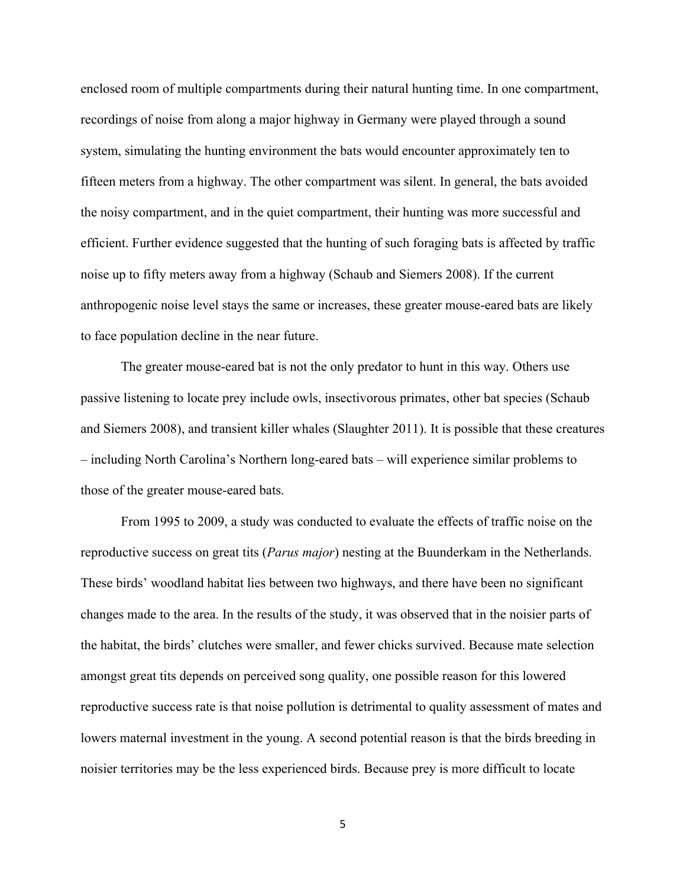enclosed room of multiple compartments during their natural hunting time. In one compartment, recordings of noise from along a major highway in Germany were played through a sound system, simulating the hunting environment the bats would encounter approximately ten to fifteen meters from a highway. The other compartment was silent. In general, the bats avoided the noisy compartment, and in the quiet compartment, their hunting was more successful and efficient. Further evidence suggested that the hunting of such foraging bats is affected by traffic noise up to fifty meters away from a highway (Schaub and Siemers 2008). If the current anthropogenic noise level stays the same or increases, these greater mouse-eared bats are likely to face population decline in the near future.

The greater mouse-eared bat is not the only predator to hunt in this way. Others use passive listening to locate prey include owls, insectivorous primates, other bat species (Schaub and Siemers 2008), and transient killer whales (Slaughter 2011). It is possible that these creatures – including North Carolina's Northern long-eared bats – will experience similar problems to those of the greater mouse-eared bats.

From 1995 to 2009, a study was conducted to evaluate the effects of traffic noise on the reproductive success on great tits (*Parus major*) nesting at the Buunderkam in the Netherlands. These birds' woodland habitat lies between two highways, and there have been no significant changes made to the area. In the results of the study, it was observed that in the noisier parts of the habitat, the birds' clutches were smaller, and fewer chicks survived. Because mate selection amongst great tits depends on perceived song quality, one possible reason for this lowered reproductive success rate is that noise pollution is detrimental to quality assessment of mates and lowers maternal investment in the young. A second potential reason is that the birds breeding in noisier territories may be the less experienced birds. Because prey is more difficult to locate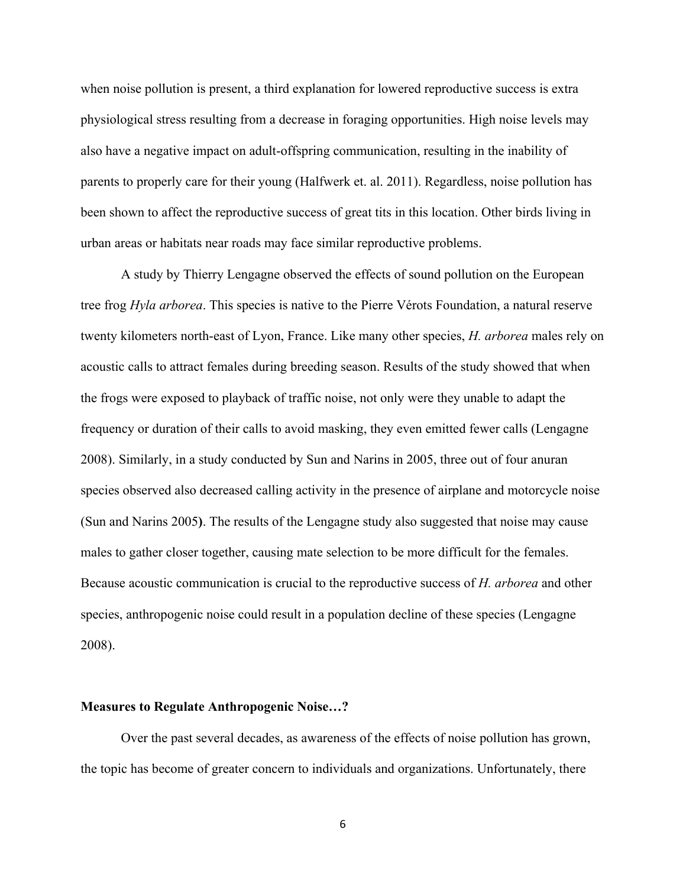when noise pollution is present, a third explanation for lowered reproductive success is extra physiological stress resulting from a decrease in foraging opportunities. High noise levels may also have a negative impact on adult-offspring communication, resulting in the inability of parents to properly care for their young (Halfwerk et. al. 2011). Regardless, noise pollution has been shown to affect the reproductive success of great tits in this location. Other birds living in urban areas or habitats near roads may face similar reproductive problems.

A study by Thierry Lengagne observed the effects of sound pollution on the European tree frog *Hyla arborea*. This species is native to the Pierre Vérots Foundation, a natural reserve twenty kilometers north-east of Lyon, France. Like many other species, *H. arborea* males rely on acoustic calls to attract females during breeding season. Results of the study showed that when the frogs were exposed to playback of traffic noise, not only were they unable to adapt the frequency or duration of their calls to avoid masking, they even emitted fewer calls (Lengagne 2008). Similarly, in a study conducted by Sun and Narins in 2005, three out of four anuran species observed also decreased calling activity in the presence of airplane and motorcycle noise (Sun and Narins 2005**)**. The results of the Lengagne study also suggested that noise may cause males to gather closer together, causing mate selection to be more difficult for the females. Because acoustic communication is crucial to the reproductive success of *H. arborea* and other species, anthropogenic noise could result in a population decline of these species (Lengagne 2008).

#### **Measures to Regulate Anthropogenic Noise…?**

Over the past several decades, as awareness of the effects of noise pollution has grown, the topic has become of greater concern to individuals and organizations. Unfortunately, there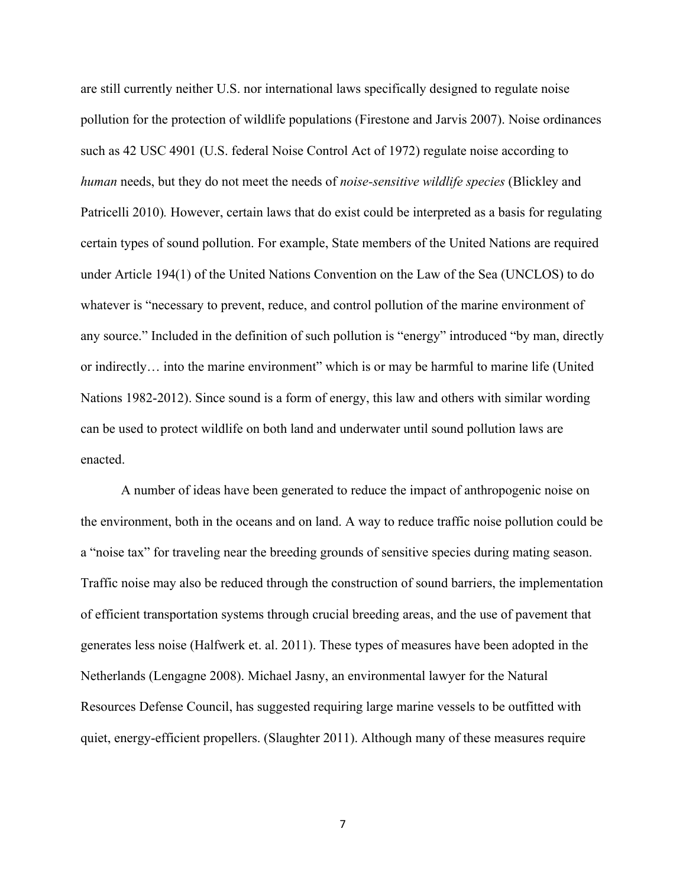are still currently neither U.S. nor international laws specifically designed to regulate noise pollution for the protection of wildlife populations (Firestone and Jarvis 2007). Noise ordinances such as 42 USC 4901 (U.S. federal Noise Control Act of 1972) regulate noise according to *human* needs, but they do not meet the needs of *noise-sensitive wildlife species* (Blickley and Patricelli 2010)*.* However, certain laws that do exist could be interpreted as a basis for regulating certain types of sound pollution. For example, State members of the United Nations are required under Article 194(1) of the United Nations Convention on the Law of the Sea (UNCLOS) to do whatever is "necessary to prevent, reduce, and control pollution of the marine environment of any source." Included in the definition of such pollution is "energy" introduced "by man, directly or indirectly… into the marine environment" which is or may be harmful to marine life (United Nations 1982-2012). Since sound is a form of energy, this law and others with similar wording can be used to protect wildlife on both land and underwater until sound pollution laws are enacted.

A number of ideas have been generated to reduce the impact of anthropogenic noise on the environment, both in the oceans and on land. A way to reduce traffic noise pollution could be a "noise tax" for traveling near the breeding grounds of sensitive species during mating season. Traffic noise may also be reduced through the construction of sound barriers, the implementation of efficient transportation systems through crucial breeding areas, and the use of pavement that generates less noise (Halfwerk et. al. 2011). These types of measures have been adopted in the Netherlands (Lengagne 2008). Michael Jasny, an environmental lawyer for the Natural Resources Defense Council, has suggested requiring large marine vessels to be outfitted with quiet, energy-efficient propellers. (Slaughter 2011). Although many of these measures require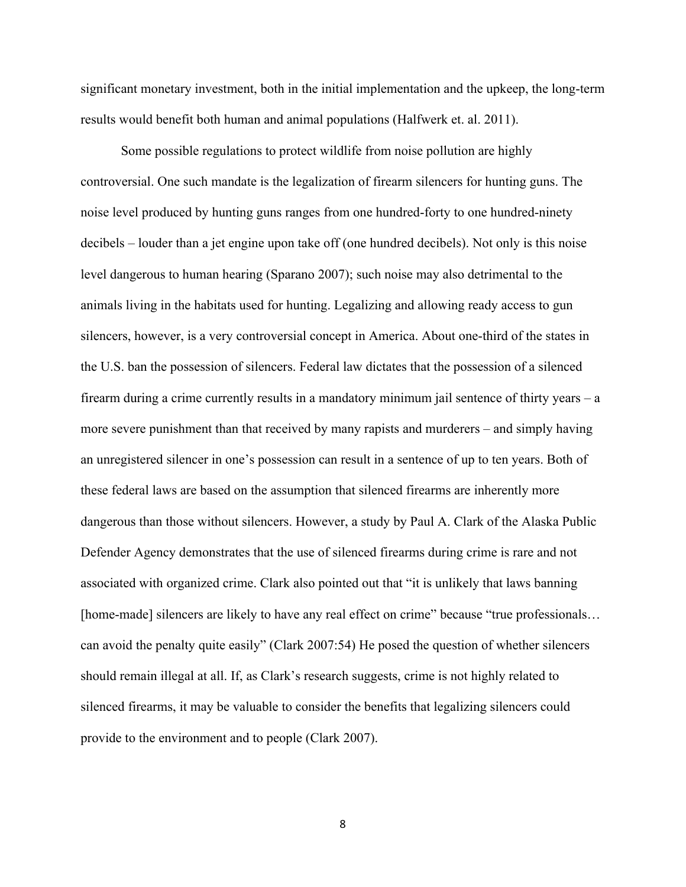significant monetary investment, both in the initial implementation and the upkeep, the long-term results would benefit both human and animal populations (Halfwerk et. al. 2011).

Some possible regulations to protect wildlife from noise pollution are highly controversial. One such mandate is the legalization of firearm silencers for hunting guns. The noise level produced by hunting guns ranges from one hundred-forty to one hundred-ninety decibels – louder than a jet engine upon take off (one hundred decibels). Not only is this noise level dangerous to human hearing (Sparano 2007); such noise may also detrimental to the animals living in the habitats used for hunting. Legalizing and allowing ready access to gun silencers, however, is a very controversial concept in America. About one-third of the states in the U.S. ban the possession of silencers. Federal law dictates that the possession of a silenced firearm during a crime currently results in a mandatory minimum jail sentence of thirty years – a more severe punishment than that received by many rapists and murderers – and simply having an unregistered silencer in one's possession can result in a sentence of up to ten years. Both of these federal laws are based on the assumption that silenced firearms are inherently more dangerous than those without silencers. However, a study by Paul A. Clark of the Alaska Public Defender Agency demonstrates that the use of silenced firearms during crime is rare and not associated with organized crime. Clark also pointed out that "it is unlikely that laws banning [home-made] silencers are likely to have any real effect on crime" because "true professionals... can avoid the penalty quite easily" (Clark 2007:54) He posed the question of whether silencers should remain illegal at all. If, as Clark's research suggests, crime is not highly related to silenced firearms, it may be valuable to consider the benefits that legalizing silencers could provide to the environment and to people (Clark 2007).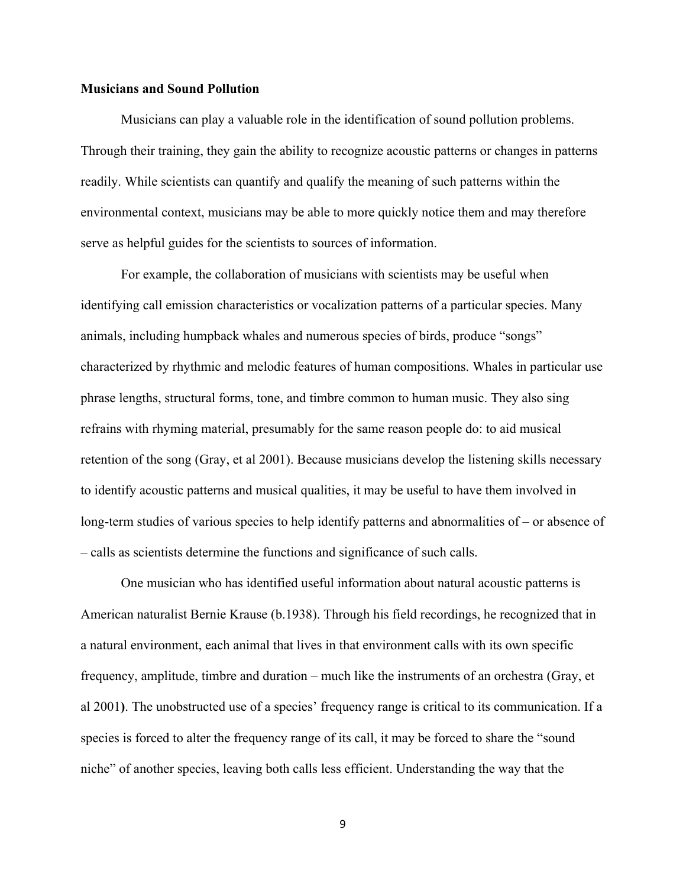# **Musicians and Sound Pollution**

Musicians can play a valuable role in the identification of sound pollution problems. Through their training, they gain the ability to recognize acoustic patterns or changes in patterns readily. While scientists can quantify and qualify the meaning of such patterns within the environmental context, musicians may be able to more quickly notice them and may therefore serve as helpful guides for the scientists to sources of information.

For example, the collaboration of musicians with scientists may be useful when identifying call emission characteristics or vocalization patterns of a particular species. Many animals, including humpback whales and numerous species of birds, produce "songs" characterized by rhythmic and melodic features of human compositions. Whales in particular use phrase lengths, structural forms, tone, and timbre common to human music. They also sing refrains with rhyming material, presumably for the same reason people do: to aid musical retention of the song (Gray, et al 2001). Because musicians develop the listening skills necessary to identify acoustic patterns and musical qualities, it may be useful to have them involved in long-term studies of various species to help identify patterns and abnormalities of – or absence of – calls as scientists determine the functions and significance of such calls.

One musician who has identified useful information about natural acoustic patterns is American naturalist Bernie Krause (b.1938). Through his field recordings, he recognized that in a natural environment, each animal that lives in that environment calls with its own specific frequency, amplitude, timbre and duration – much like the instruments of an orchestra (Gray, et al 2001**)**. The unobstructed use of a species' frequency range is critical to its communication. If a species is forced to alter the frequency range of its call, it may be forced to share the "sound niche" of another species, leaving both calls less efficient. Understanding the way that the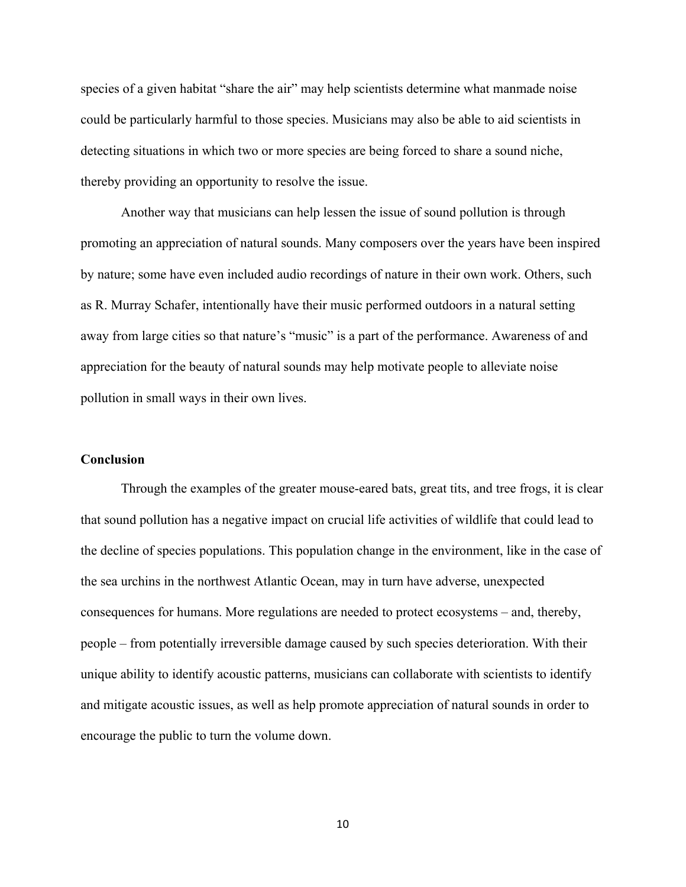species of a given habitat "share the air" may help scientists determine what manmade noise could be particularly harmful to those species. Musicians may also be able to aid scientists in detecting situations in which two or more species are being forced to share a sound niche, thereby providing an opportunity to resolve the issue.

Another way that musicians can help lessen the issue of sound pollution is through promoting an appreciation of natural sounds. Many composers over the years have been inspired by nature; some have even included audio recordings of nature in their own work. Others, such as R. Murray Schafer, intentionally have their music performed outdoors in a natural setting away from large cities so that nature's "music" is a part of the performance. Awareness of and appreciation for the beauty of natural sounds may help motivate people to alleviate noise pollution in small ways in their own lives.

### **Conclusion**

Through the examples of the greater mouse-eared bats, great tits, and tree frogs, it is clear that sound pollution has a negative impact on crucial life activities of wildlife that could lead to the decline of species populations. This population change in the environment, like in the case of the sea urchins in the northwest Atlantic Ocean, may in turn have adverse, unexpected consequences for humans. More regulations are needed to protect ecosystems – and, thereby, people – from potentially irreversible damage caused by such species deterioration. With their unique ability to identify acoustic patterns, musicians can collaborate with scientists to identify and mitigate acoustic issues, as well as help promote appreciation of natural sounds in order to encourage the public to turn the volume down.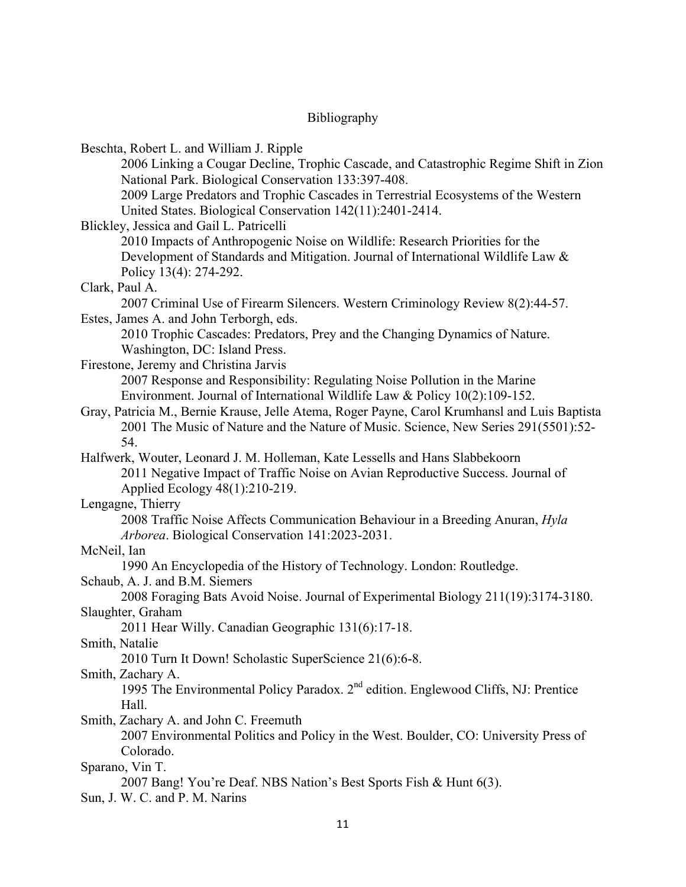# Bibliography

| Beschta, Robert L. and William J. Ripple                                                       |
|------------------------------------------------------------------------------------------------|
| 2006 Linking a Cougar Decline, Trophic Cascade, and Catastrophic Regime Shift in Zion          |
| National Park. Biological Conservation 133:397-408.                                            |
| 2009 Large Predators and Trophic Cascades in Terrestrial Ecosystems of the Western             |
| United States. Biological Conservation 142(11):2401-2414.                                      |
| Blickley, Jessica and Gail L. Patricelli                                                       |
| 2010 Impacts of Anthropogenic Noise on Wildlife: Research Priorities for the                   |
| Development of Standards and Mitigation. Journal of International Wildlife Law &               |
| Policy 13(4): 274-292.                                                                         |
| Clark, Paul A.                                                                                 |
| 2007 Criminal Use of Firearm Silencers. Western Criminology Review 8(2):44-57.                 |
| Estes, James A. and John Terborgh, eds.                                                        |
| 2010 Trophic Cascades: Predators, Prey and the Changing Dynamics of Nature.                    |
| Washington, DC: Island Press.                                                                  |
| Firestone, Jeremy and Christina Jarvis                                                         |
| 2007 Response and Responsibility: Regulating Noise Pollution in the Marine                     |
| Environment. Journal of International Wildlife Law & Policy 10(2):109-152.                     |
| Gray, Patricia M., Bernie Krause, Jelle Atema, Roger Payne, Carol Krumhansl and Luis Baptista  |
| 2001 The Music of Nature and the Nature of Music. Science, New Series 291(5501):52-            |
| 54.                                                                                            |
| Halfwerk, Wouter, Leonard J. M. Holleman, Kate Lessells and Hans Slabbekoorn                   |
| 2011 Negative Impact of Traffic Noise on Avian Reproductive Success. Journal of                |
| Applied Ecology 48(1):210-219.                                                                 |
|                                                                                                |
| Lengagne, Thierry                                                                              |
| 2008 Traffic Noise Affects Communication Behaviour in a Breeding Anuran, <i>Hyla</i>           |
| Arborea. Biological Conservation 141:2023-2031.                                                |
| McNeil, Ian                                                                                    |
| 1990 An Encyclopedia of the History of Technology. London: Routledge.                          |
| Schaub, A. J. and B.M. Siemers                                                                 |
| 2008 Foraging Bats Avoid Noise. Journal of Experimental Biology 211(19):3174-3180.             |
| Slaughter, Graham                                                                              |
| 2011 Hear Willy. Canadian Geographic 131(6):17-18.                                             |
| Smith, Natalie                                                                                 |
| 2010 Turn It Down! Scholastic SuperScience 21(6):6-8.                                          |
| Smith, Zachary A.                                                                              |
| 1995 The Environmental Policy Paradox. 2 <sup>nd</sup> edition. Englewood Cliffs, NJ: Prentice |
| Hall.                                                                                          |
| Smith, Zachary A. and John C. Freemuth                                                         |
| 2007 Environmental Politics and Policy in the West. Boulder, CO: University Press of           |
| Colorado.                                                                                      |
| Sparano, Vin T.                                                                                |
| 2007 Bang! You're Deaf. NBS Nation's Best Sports Fish & Hunt 6(3).                             |
| Sun, J. W. C. and P. M. Narins                                                                 |
|                                                                                                |